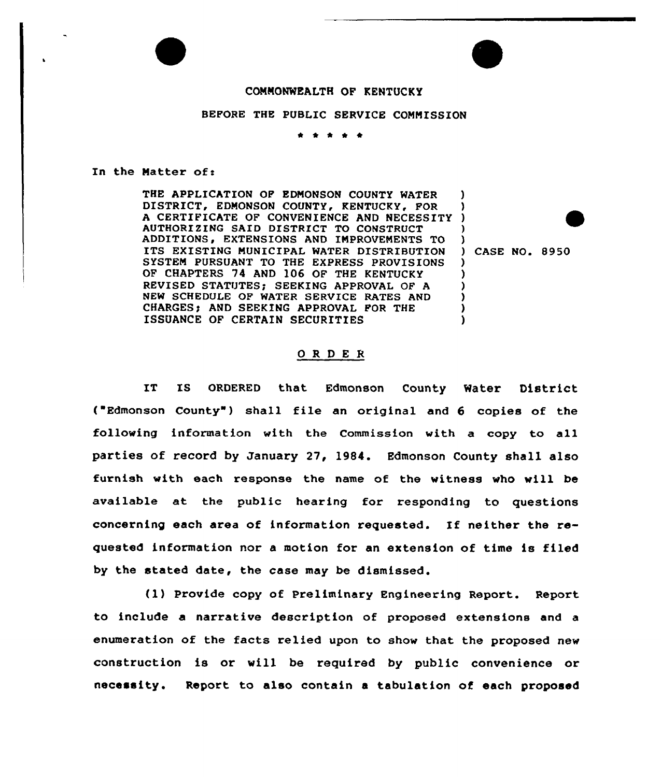

## BEFORE THE PUBLIC SERVICE CONNISSION

 $\begin{array}{cccccccccccccc} \bullet & \bullet & \bullet & \bullet & \bullet & \bullet \end{array}$ 

In the Natter of:

THE APPLICATION OF EDNONSON COUNTY WATER DISTRICT, EDMONSON COUNTY, KENTUCKY, FOR DISTRICT, EDMONSON COUNTY, KENTUCKY, FOR )<br>A CERTIFICATE OF CONVENIENCE AND NECESSITY ) AUTHORIZING SAID DISTRICT TO CONSTRUCT ADDITIONS, EXTENSIONS AND IMPROVEMENTS TO ITS EXISTING NUNICIPAL WATER DISTRIBUTION SYSTEN PURSUANT TO THE EXPRESS PROVISIONS OP CHAPTERS 74 AND 106 OF THE KENTUCKY REVISED STATUTES: SEEKING APPROVAL OF A NEW SCHEDULE OF WATER SERVICE RATES AND CHARGES; AND SEEKING APPROVAL FOR THE ISSUANCE OF CERTAIN SECURITIES )

 $)$  CASE NO. 8950

)

) ) )

) ) ) ) )

## ORDER

IT IS ORDERED that Edmonson County Water District ( Edmonson County ) shall file an original and 6 copies of the following information with the Commission with a copy to all parties of record by January 27, 1984. Edmonson County shall also furnish with each response the name of the witness who will be available at the public hearing for responding to questions concerning each area of information requested. If neither the requested information nor a motion for an extension of time is filed by the stated date, the case may be dismissed.

(1) Provide copy of Preliminary Engineering Report. Report to include a narrative description of proposed extensions and a enumeration of the facts relied upon to show that the proposed new construction is or will be required by public convenience or necessity. Report to also contain a tabulation of each proposed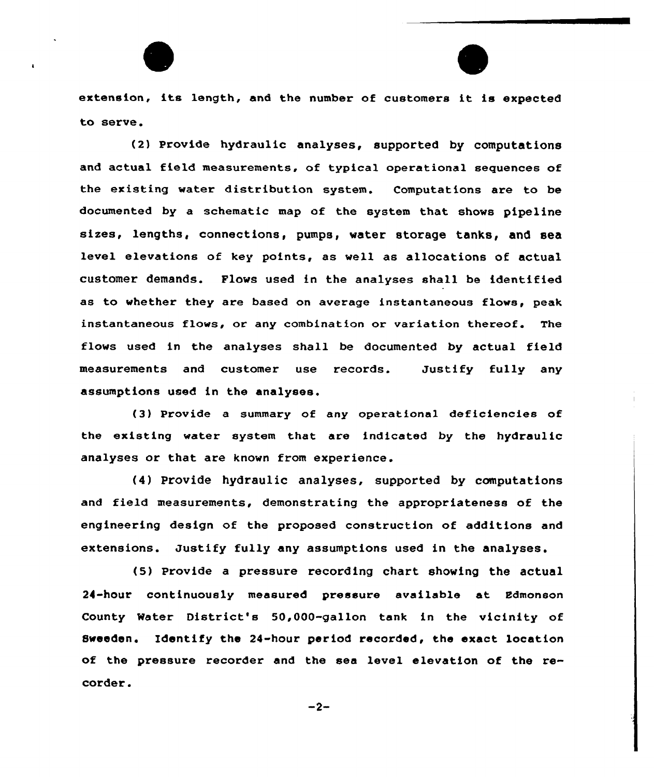extension, its length, and the number of customers it is expected to serve.

(2) Provide hydraulic analyses, supported by computations and actual field measurements, of typical operational sequences of the existing water distribution system. Computations are to be documented by a schematic map of the system that shows pipeline sizes, lengths, connections, pumps, water storage tanks, and sea level elevations of key points, as well as allocations of actual customer demands. Flows used in the analyses shall be identified as to whether they are based on average instantaneous flows, peak instantaneous flows, or any combination or variation thereof. The flows used in the analyses shall be documented by actual field measurements and customer use records. Justify fully any assumptions used in the analyses.

(3) Provide a summary of any opexational deficiencies of the existing water system that are indicated by the hydraulic analyses or that are known from experience.

(4) Provide hydraulic analyses, supported by computations and field measurements, demonstrating the appxopriateness of the engineering design of the proposed construction of additions and extensions. Justify fully any assumptions used in the analyses.

(5) Provide a pressure recording chart showing the actual 24-hour continuously measured pressure available at Edmonson County Water District's 50,000-gallon tank in the vicinity of Sweeden. Identify the 24-hour period recorded, the exact location of the pressure recorder and the sea level elevation of the recorder.

 $-2-$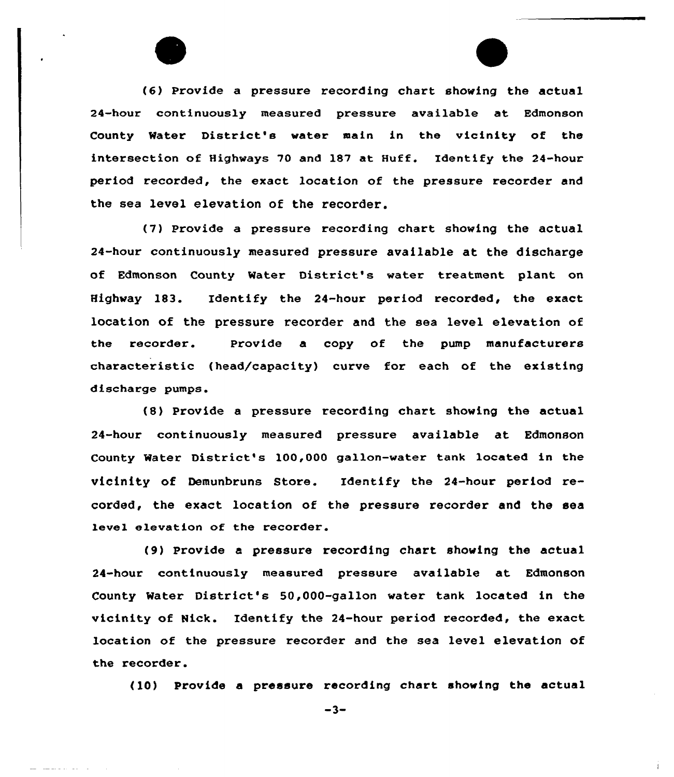(6) Provide a pressure recording chart showing the actual 24-hour continuously measured pressure available at Edmonson County Water District's water main in the vicinity of the intersection of Highways 70 and 187 at Huff. Identify the 24-hour period recorded, the exact location of the pressure recorder and the sea level elevation of the recorder.

(7) Provide a pressure recording chart showing the actual 24-hour continuously measured pressure available at the discharge of Edmonson County Water District's water treatment plant on Highway 183. Identify the 24-hour period recorded, the exact location of the pressure recorder and the sea level elevation of the recorder. Provide a copy of the pump manufacturers characteristic (head/capacity) curve for each of the existing discharge pumps.

(8) Provide a pressure recording chart showing the actual 24-hour continuously measured pressure available at Edmonson County Water District's 100,000 gallon-water tank 1ocated in the vicinity of Demunbruns Store. Identify the 24-hour period recorded, the exact location of the pressure recorder and the sea level elevation of the recorder.

(9) Provide a pressure recording chart showing the actua1 24-hour continuously measured pressure available at Edmonson County Water District's 50,000-gallon water tank located in the vicinity of Nick. Identify the 24-hour period recorded, the exact location of the pressure recorder and the sea level elevation of the recorder.

(10) Provide a pressure recording chart showing the actual

 $-3-$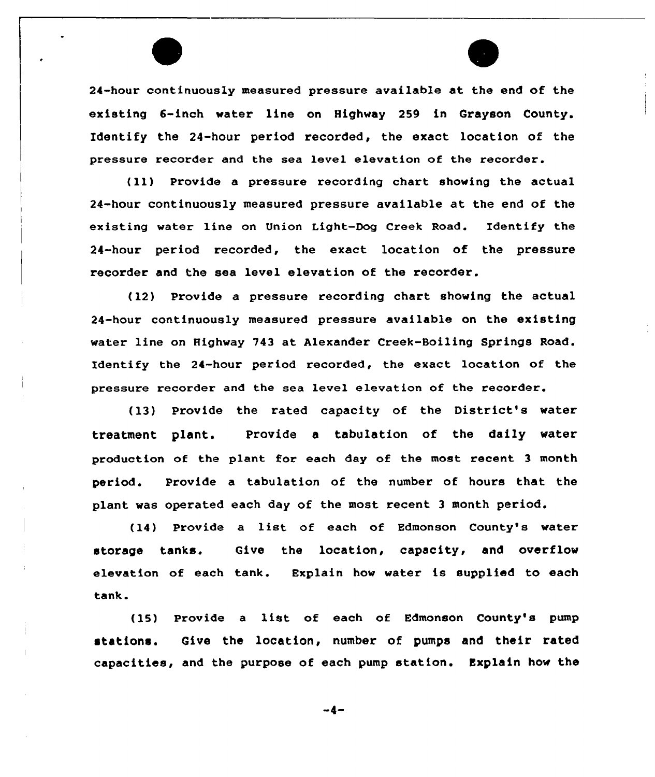24-hour continuously measured pressure available at the end of the existing 6-inch water line on Highway 259 in Grayson County. Identify the 24-hour period recorded, the exact location of the pressure recorder and the sea level elevation of the recorder.

(ll) Provide <sup>a</sup> pressure recording chart showing the actual 24-hour continuously measured pressure available at the end of the existing water line on Union Light-Dog Creek Road. Identify the 24-hour period recorded, the exact location of the pressure recorder and the sea level elevation of the recorder.

(12) Provide a pressure recording chart showing the actual 24-hour continuously measured pressure available on the existing water line on Highway 743 at Alexander Creek-Boiling Springs Road. Identify the 24-hour period recorded, the exact location of the pressure recorder and the sea level elevation of the recorder.

(13) Provide the rated capacity of the District's water treatment plant. Provide a tabulation of the daily water production of the plant for each day of the most recent 3 month period. Provide a tabulation of the number of hours that the plant was operated each day of the most recent <sup>3</sup> month period.

(14) Provide <sup>a</sup> list of each of Edmonson County's water storage tanks. Give the location, capacity, and overflow elevation of each tank. Explain how water is supplied to each tank.

(15) Provide <sup>a</sup> list of each of Edmonson County's pump stations. Give the location, number of pumps and their rated capacities, and the purpose of each pump station. Explain how the

-4-